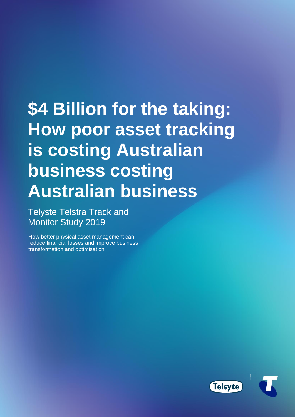# **\$4 Billion for the taking: How poor asset tracking is costing Australian business costing Australian business**

Telyste Telstra Track and Monitor Study 2019

How better physical asset management can reduce financial losses and improve business transformation and optimisation

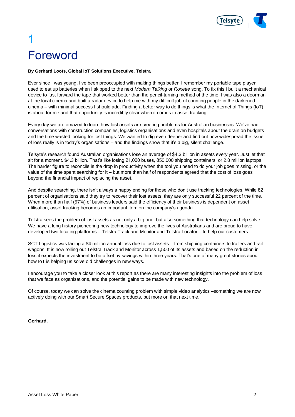

# <span id="page-1-0"></span>1 Foreword

#### **By Gerhard Loots, Global IoT Solutions Executive, Telstra**

Ever since I was young, I've been preoccupied with making things better. I remember my portable tape player used to eat up batteries when I skipped to the next *Modern Talking* or *Roxette* song. To fix this I built a mechanical device to fast forward the tape that worked better than the pencil-turning method of the time. I was also a doorman at the local cinema and built a radar device to help me with my difficult job of counting people in the darkened cinema – with minimal success I should add. Finding a better way to do things is what the Internet of Things (IoT) is about for me and that opportunity is incredibly clear when it comes to asset tracking.

Every day we are amazed to learn how lost assets are creating problems for Australian businesses. We've had conversations with construction companies, logistics organisations and even hospitals about the drain on budgets and the time wasted looking for lost things. We wanted to dig even deeper and find out how widespread the issue of loss really is in today's organisations – and the findings show that it's a big, silent challenge.

Telsyte's research found Australian organisations lose an average of \$4.3 billion in assets every year. Just let that sit for a moment. \$4.3 billion. That's like losing 21,000 buses, 850,000 shipping containers, or 2.8 million laptops. The harder figure to reconcile is the drop in productivity when the tool you need to do your job goes missing, or the value of the time spent searching for it – but more than half of respondents agreed that the cost of loss goes beyond the financial impact of replacing the asset.

And despite searching, there isn't always a happy ending for those who don't use tracking technologies. While 82 percent of organisations said they try to recover their lost assets, they are only successful 22 percent of the time. When more than half (57%) of business leaders said the efficiency of their business is dependent on asset utilisation, asset tracking becomes an important item on the company's agenda.

Telstra sees the problem of lost assets as not only a big one, but also something that technology can help solve. We have a long history pioneering new technology to improve the lives of Australians and are proud to have developed two locating platforms – Telstra Track and Monitor and Telstra Locator – to help our customers.

SCT Logistics was facing a \$4 million annual loss due to lost assets – from shipping containers to trailers and rail wagons. It is now rolling out Telstra Track and Monitor across 1,500 of its assets and based on the reduction in loss it expects the investment to be offset by savings within three years. That's one of many great stories about how IoT is helping us solve old challenges in new ways.

I encourage you to take a closer look at this report as there are many interesting insights into the problem of loss that we face as organisations, and the potential gains to be made with new technology.

Of course, today we can solve the cinema counting problem with simple video analytics –something we are now actively doing with our Smart Secure Spaces products, but more on that next time.

#### **Gerhard.**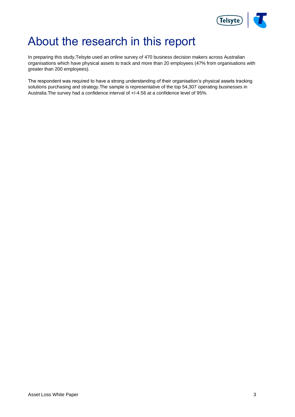

# <span id="page-2-0"></span>About the research in this report

In preparing this study,Telsyte used an online survey of 470 business decision makers across Australian organisations which have physical assets to track and more than 20 employees (47% from organisations with greater than 200 employees).

The respondent was required to have a strong understanding of their organisation's physical assets tracking solutions purchasing and strategy.The sample is representative of the top 54,307 operating businesses in Australia.The survey had a confidence interval of +/-4.56 at a confidence level of 95%.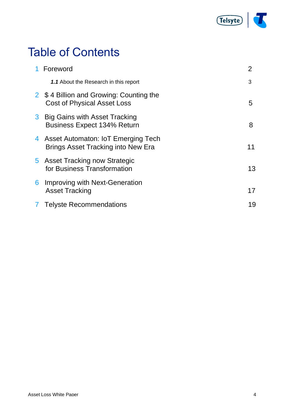

# Table of Contents

|   | 1 Foreword                                                                    | 2  |
|---|-------------------------------------------------------------------------------|----|
|   | 1.1 About the Research in this report                                         | 3  |
|   | 2 \$4 Billion and Growing: Counting the<br><b>Cost of Physical Asset Loss</b> | 5  |
|   | 3 Big Gains with Asset Tracking<br><b>Business Expect 134% Return</b>         | 8  |
|   | 4 Asset Automaton: IoT Emerging Tech<br>Brings Asset Tracking into New Era    | 11 |
|   | 5 Asset Tracking now Strategic<br>for Business Transformation                 | 13 |
| 6 | Improving with Next-Generation<br><b>Asset Tracking</b>                       | 17 |
|   | 7 Telyste Recommendations                                                     | 19 |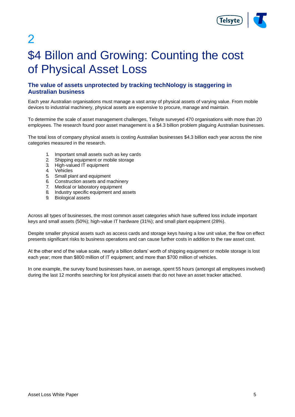

 $\overline{\mathbf{c}}$ 

# <span id="page-4-0"></span>\$4 Billon and Growing: Counting the cost of Physical Asset Loss

### **The value of assets unprotected by tracking techNology is staggering in Australian business**

Each year Australian organisations must manage a vast array of physical assets of varying value. From mobile devices to industrial machinery, physical assets are expensive to procure, manage and maintain.

To determine the scale of asset management challenges, Telsyte surveyed 470 organisations with more than 20 employees. The research found poor asset management is a \$4.3 billion problem plaguing Australian businesses.

The total loss of company physical assets is costing Australian businesses \$4.3 billion each year across the nine categories measured in the research.

- 1. Important small assets such as key cards
- 2. Shipping equipment or mobile storage
- 3. High-valued IT equipment
- 4. Vehicles
- 5. Small plant and equipment
- 6. Construction assets and machinery
- 7. Medical or laboratory equipment
- 8. Industry specific equipment and assets<br>9. Biological assets
- Biological assets

Across all types of businesses, the most common asset categories which have suffered loss include important keys and small assets (50%); high-value IT hardware (31%); and small plant equipment (28%).

Despite smaller physical assets such as access cards and storage keys having a low unit value, the flow on effect presents significant risks to business operations and can cause further costs in addition to the raw asset cost.

At the other end of the value scale, nearly a billion dollars' worth of shipping equipment or mobile storage is lost each year; more than \$800 million of IT equipment; and more than \$700 million of vehicles.

In one example, the survey found businesses have, on average, spent 55 hours (amongst all employees involved) during the last 12 months searching for lost physical assets that do not have an asset tracker attached.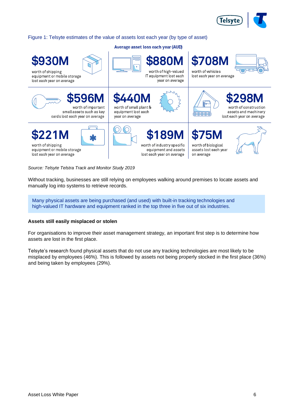

#### Figure 1: Telsyte estimates of the value of assets lost each year (by type of asset)

Average asset loss each year (AUD)



*Source: Telsyte Telstra Track and Monitor Study 2019*

Without tracking, businesses are still relying on employees walking around premises to locate assets and manually log into systems to retrieve records.

Many physical assets are being purchased (and used) with built-in tracking technologies and high-valued IT hardware and equipment ranked in the top three in five out of six industries.

#### **Assets still easily misplaced or stolen**

For organisations to improve their asset management strategy, an important first step is to determine how assets are lost in the first place.

Telsyte's research found physical assets that do not use any tracking technologies are most likely to be misplaced by employees (46%). This is followed by assets not being properly stocked in the first place (36%) and being taken by employees (29%).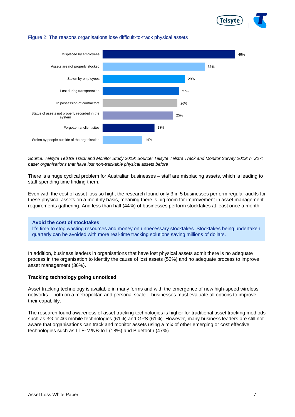

#### Figure 2: The reasons organisations lose difficult-to-track physical assets



*Source: Telsyte Telstra Track and Monitor Study 2019; Source: Telsyte Telstra Track and Monitor Survey 2019; n=227; base: organisations that have lost non-trackable physical assets before*

There is a huge cyclical problem for Australian businesses – staff are misplacing assets, which is leading to staff spending time finding them.

Even with the cost of asset loss so high, the research found only 3 in 5 businesses perform regular audits for these physical assets on a monthly basis, meaning there is big room for improvement in asset management requirements gathering. And less than half (44%) of businesses perform stocktakes at least once a month.

#### **Avoid the cost of stocktakes**

It's time to stop wasting resources and money on unnecessary stocktakes. Stocktakes being undertaken quarterly can be avoided with more real-time tracking solutions saving millions of dollars.

In addition, business leaders in organisations that have lost physical assets admit there is no adequate process in the organisation to identify the cause of lost assets (52%) and no adequate process to improve asset management (36%).

#### **Tracking technology going unnoticed**

Asset tracking technology is available in many forms and with the emergence of new high-speed wireless networks – both on a metropolitan and personal scale – businesses must evaluate all options to improve their capability.

The research found awareness of asset tracking technologies is higher for traditional asset tracking methods such as 3G or 4G mobile technologies (61%) and GPS (61%). However, many business leaders are still not aware that organisations can track and monitor assets using a mix of other emerging or cost effective technologies such as LTE-M/NB-IoT (18%) and Bluetooth (47%).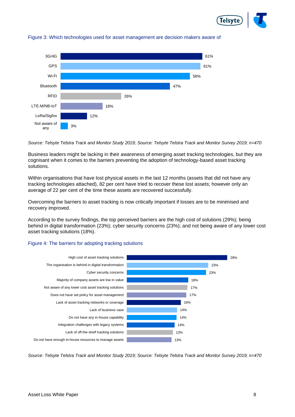



#### Figure 3: Which technologies used for asset management are decision makers aware of

*Source: Telsyte Telstra Track and Monitor Study 2019; Source: Telsyte Telstra Track and Monitor Survey 2019; n=470*

Business leaders might be lacking in their awareness of emerging asset tracking technologies, but they are cognisant when it comes to the barriers preventing the adoption of technology-based asset tracking solutions.

Within organisations that have lost physical assets in the last 12 months (assets that did not have any tracking technologies attached), 82 per cent have tried to recover these lost assets; however only an average of 22 per cent of the time these assets are recovered successfully.

Overcoming the barriers to asset tracking is now critically important if losses are to be minimised and recovery improved.

According to the survey findings, the top perceived barriers are the high cost of solutions (29%); being behind in digital transformation (23%); cyber security concerns (23%); and not being aware of any lower cost asset tracking solutions (18%).

#### Figure 4: The barriers for adopting tracking solutions



*Source: Telsyte Telstra Track and Monitor Study 2019; Source: Telsyte Telstra Track and Monitor Survey 2019; n=470*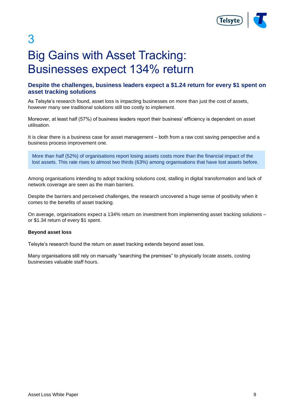

3

# <span id="page-8-0"></span>Big Gains with Asset Tracking: Businesses expect 134% return

### **Despite the challenges, business leaders expect a \$1.24 return for every \$1 spent on asset tracking solutions**

As Telsyte's research found, asset loss is impacting businesses on more than just the cost of assets, however many see traditional solutions still too costly to implement.

Moreover, at least half (57%) of business leaders report their business' efficiency is dependent on asset utilisation.

It is clear there is a business case for asset management – both from a raw cost saving perspective and a business process improvement one.

More than half (52%) of organisations report losing assets costs more than the financial impact of the lost assets. This rate rises to almost two thirds (63%) among organisations that have lost assets before.

Among organisations intending to adopt tracking solutions cost, stalling in digital transformation and lack of network coverage are seen as the main barriers.

Despite the barriers and perceived challenges, the research uncovered a huge sense of positivity when it comes to the benefits of asset tracking.

On average, organisations expect a 134% return on investment from implementing asset tracking solutions – or \$1.34 return of every \$1 spent.

#### **Beyond asset loss**

Telsyte's research found the return on asset tracking extends beyond asset loss.

Many organisations still rely on manually "searching the premises" to physically locate assets, costing businesses valuable staff hours.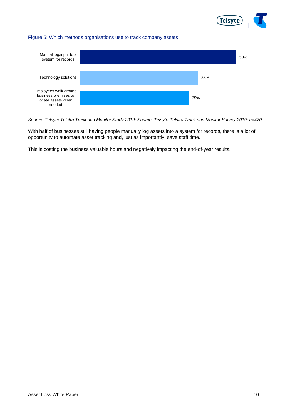

#### Figure 5: Which methods organisations use to track company assets



*Source: Telsyte Telstra Track and Monitor Study 2019; Source: Telsyte Telstra Track and Monitor Survey 2019; n=470*

With half of businesses still having people manually log assets into a system for records, there is a lot of opportunity to automate asset tracking and, just as importantly, save staff time.

This is costing the business valuable hours and negatively impacting the end-of-year results.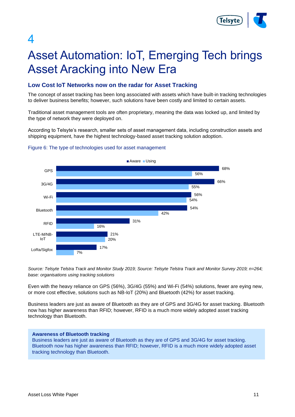

# $\boldsymbol{\varDelta}$

# <span id="page-10-0"></span>Asset Automation: IoT, Emerging Tech brings Asset Aracking into New Era

### **Low Cost IoT Networks now on the radar for Asset Tracking**

The concept of asset tracking has been long associated with assets which have built-in tracking technologies to deliver business benefits; however, such solutions have been costly and limited to certain assets.

Traditional asset management tools are often proprietary, meaning the data was locked up, and limited by the type of network they were deployed on.

According to Telsyte's research, smaller sets of asset management data, including construction assets and shipping equipment, have the highest technology-based asset tracking solution adoption.



#### Figure 6: The type of technologies used for asset management

*Source: Telsyte Telstra Track and Monitor Study 2019; Source: Telsyte Telstra Track and Monitor Survey 2019; n=264; base: organisations using tracking solutions*

Even with the heavy reliance on GPS (56%), 3G/4G (55%) and Wi-Fi (54%) solutions, fewer are eying new, or more cost effective, solutions such as NB-IoT (20%) and Bluetooth (42%) for asset tracking.

Business leaders are just as aware of Bluetooth as they are of GPS and 3G/4G for asset tracking. Bluetooth now has higher awareness than RFID; however, RFID is a much more widely adopted asset tracking technology than Bluetooth.

#### **Awareness of Bluetooth tracking**

Business leaders are just as aware of Bluetooth as they are of GPS and 3G/4G for asset tracking. Bluetooth now has higher awareness than RFID; however, RFID is a much more widely adopted asset tracking technology than Bluetooth.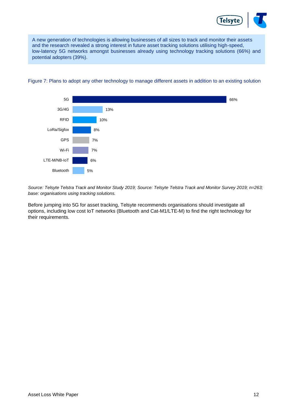

A new generation of technologies is allowing businesses of all sizes to track and monitor their assets and the research revealed a strong interest in future asset tracking solutions utilising high-speed, low-latency 5G networks amongst businesses already using technology tracking solutions (66%) and potential adopters (39%).



#### Figure 7: Plans to adopt any other technology to manage different assets in addition to an existing solution

*Source: Telsyte Telstra Track and Monitor Study 2019; Source: Telsyte Telstra Track and Monitor Survey 2019; n=263; base: organisations using tracking solutions.*

Before jumping into 5G for asset tracking, Telsyte recommends organisations should investigate all options, including low cost IoT networks (Bluetooth and Cat-M1/LTE-M) to find the right technology for their requirements.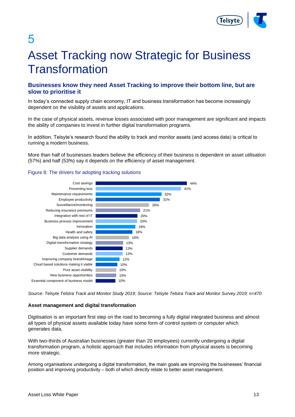

5

# Asset Tracking now Strategic for Business Transformation

### **Businesses know they need Asset Tracking to improve their bottom line, but are slow to prioritise it**

In today's connected supply chain economy, IT and business transformation has become increasingly dependent on the visibility of assets and applications.

In the case of physical assets, revenue losses associated with poor management are significant and impacts the ability of companies to invest in further digital transformation programs.

In addition, Telsyte's research found the ability to track and monitor assets (and access data) is critical to running a modern business.

More than half of businesses leaders believe the efficiency of their business is dependent on asset utilisation (57%) and half (53%) say it depends on the efficiency of asset management.



#### Figure 8: The drivers for adopting tracking solutions

*Source: Telsyte Telstra Track and Monitor Study 2019; Source: Telsyte Telstra Track and Monitor Survey 2019; n=470*

### **Asset management and digital transformation**

Digitisation is an important first step on the road to becoming a fully digital integrated business and almost all types of physical assets available today have some form of control system or computer which generates data.

With two-thirds of Australian businesses (greater than 20 employees) currently undergoing a digital transformation program, a holistic approach that includes information from physical assets is becoming more strategic.

Among organisations undergoing a digital transformation, the main goals are improving the businesses' financial position and improving productivity – both of which directly relate to better asset management.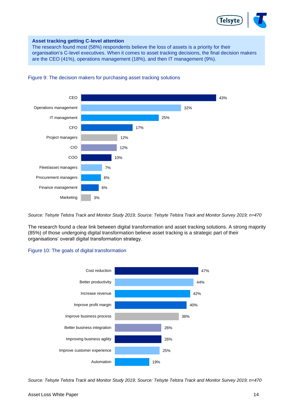

#### **Asset tracking getting C-level attention**

The research found most (58%) respondents believe the loss of assets is a priority for their organisation's C-level executives. When it comes to asset tracking decisions, the final decision makers are the CEO (41%), operations management (18%), and then IT management (9%).



#### Figure 9: The decision makers for purchasing asset tracking solutions

*Source: Telsyte Telstra Track and Monitor Study 2019; Source: Telsyte Telstra Track and Monitor Survey 2019; n=470*

The research found a clear link between digital transformation and asset tracking solutions. A strong majority (85%) of those undergoing digital transformation believe asset tracking is a strategic part of their organisations' overall digital transformation strategy.

#### Figure 10: The goals of digital transformation



*Source: Telsyte Telstra Track and Monitor Study 2019; Source: Telsyte Telstra Track and Monitor Survey 2019; n=470*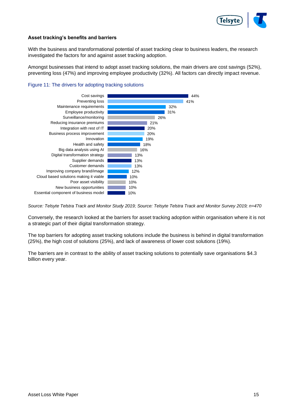

#### **Asset tracking's benefits and barriers**

With the business and transformational potential of asset tracking clear to business leaders, the research investigated the factors for and against asset tracking adoption.

Amongst businesses that intend to adopt asset tracking solutions, the main drivers are cost savings (52%), preventing loss (47%) and improving employee productivity (32%). All factors can directly impact revenue.





*Source: Telsyte Telstra Track and Monitor Study 2019; Source: Telsyte Telstra Track and Monitor Survey 2019; n=470*

Conversely, the research looked at the barriers for asset tracking adoption within organisation where it is not a strategic part of their digital transformation strategy.

The top barriers for adopting asset tracking solutions include the business is behind in digital transformation (25%), the high cost of solutions (25%), and lack of awareness of lower cost solutions (19%).

The barriers are in contrast to the ability of asset tracking solutions to potentially save organisations \$4.3 billion every year.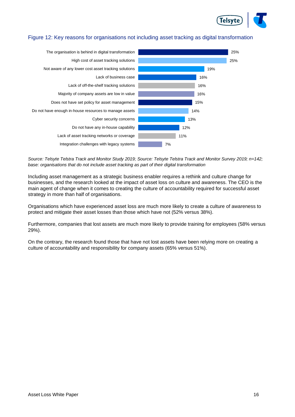

### Figure 12: Key reasons for organisations not including asset tracking as digital transformation



*Source: Telsyte Telstra Track and Monitor Study 2019; Source: Telsyte Telstra Track and Monitor Survey 2019; n=142; base: organisations that do not include asset tracking as part of their digital transformation*

Including asset management as a strategic business enabler requires a rethink and culture change for businesses, and the research looked at the impact of asset loss on culture and awareness. The CEO is the main agent of change when it comes to creating the culture of accountability required for successful asset strategy in more than half of organisations.

Organisations which have experienced asset loss are much more likely to create a culture of awareness to protect and mitigate their asset losses than those which have not (52% versus 38%).

Furthermore, companies that lost assets are much more likely to provide training for employees (58% versus 29%).

On the contrary, the research found those that have not lost assets have been relying more on creating a culture of accountability and responsibility for company assets (65% versus 51%).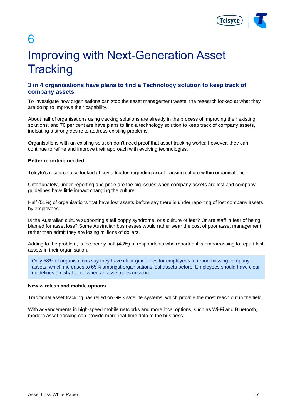

6

# <span id="page-16-0"></span>Improving with Next-Generation Asset **Tracking**

### **3 in 4 organisations have plans to find a Technology solution to keep track of company assets**

To investigate how organisations can stop the asset management waste, the research looked at what they are doing to improve their capability.

About half of organisations using tracking solutions are already in the process of improving their existing solutions, and 76 per cent are have plans to find a technology solution to keep track of company assets, indicating a strong desire to address existing problems.

Organisations with an existing solution don't need proof that asset tracking works; however, they can continue to refine and improve their approach with evolving technologies.

#### **Better reporting needed**

Telsyte's research also looked at key attitudes regarding asset tracking culture within organisations.

Unfortunately, under-reporting and pride are the big issues when company assets are lost and company guidelines have little impact changing the culture.

Half (51%) of organisations that have lost assets before say there is under reporting of lost company assets by employees.

Is the Australian culture supporting a tall poppy syndrome, or a culture of fear? Or are staff in fear of being blamed for asset loss? Some Australian businesses would rather wear the cost of poor asset management rather than admit they are losing millions of dollars.

Adding to the problem, is the nearly half (48%) of respondents who reported it is embarrassing to report lost assets in their organisation.

Only 58% of organisations say they have clear guidelines for employees to report missing company assets, which increases to 65% amongst organisations lost assets before. Employees should have clear guidelines on what to do when an asset goes missing.

#### **New wireless and mobile options**

Traditional asset tracking has relied on GPS satellite systems, which provide the most reach out in the field.

With advancements in high-speed mobile networks and more local options, such as Wi-Fi and Bluetooth, modern asset tracking can provide more real-time data to the business.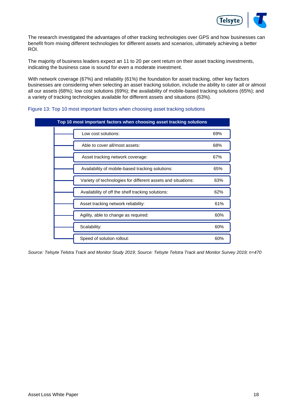

The research investigated the advantages of other tracking technologies over GPS and how businesses can benefit from mixing different technologies for different assets and scenarios, ultimately achieving a better ROI.

The majority of business leaders expect an 11 to 20 per cent return on their asset tracking investments, indicating the business case is sound for even a moderate investment.

With network coverage (67%) and reliability (61%) the foundation for asset tracking, other key factors businesses are considering when selecting an asset tracking solution, include the ability to cater all or almost all our assets (68%); low cost solutions (69%); the availability of mobile-based tracking solutions (65%); and a variety of tracking technologies available for different assets and situations (63%).

| Top 10 most important factors when choosing asset tracking solutions |     |  |
|----------------------------------------------------------------------|-----|--|
| Low cost solutions:                                                  | 69% |  |
| Able to cover all/most assets:                                       | 68% |  |
| Asset tracking network coverage:                                     | 67% |  |
| Availability of mobile-based tracking solutions:                     | 65% |  |
| Variety of technologies for different assets and situations:         | 63% |  |
| Availability of off the shelf tracking solutions:                    | 62% |  |
| Asset tracking network reliability:                                  | 61% |  |
| Agility, able to change as required:                                 | 60% |  |
| Scalability:                                                         | 60% |  |
| Speed of solution rollout:                                           | 60% |  |

#### Figure 13: Top 10 most important factors when choosing asset tracking solutions

*Source: Telsyte Telstra Track and Monitor Study 2019; Source: Telsyte Telstra Track and Monitor Survey 2019; n=470*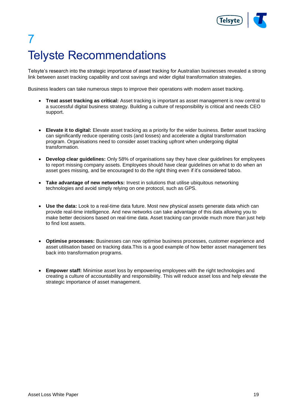

# <span id="page-18-0"></span>7 Telyste Recommendations

Telsyte's research into the strategic importance of asset tracking for Australian businesses revealed a strong link between asset tracking capability and cost savings and wider digital transformation strategies.

Business leaders can take numerous steps to improve their operations with modern asset tracking.

- **Treat asset tracking as critical:** Asset tracking is important as asset management is now central to a successful digital business strategy. Building a culture of responsibility is critical and needs CEO support.
- **Elevate it to digital:** Elevate asset tracking as a priority for the wider business. Better asset tracking can significantly reduce operating costs (and losses) and accelerate a digital transformation program. Organisations need to consider asset tracking upfront when undergoing digital transformation.
- **Develop clear guidelines:** Only 58% of organisations say they have clear guidelines for employees to report missing company assets. Employees should have clear guidelines on what to do when an asset goes missing, and be encouraged to do the right thing even if it's considered taboo.
- **Take advantage of new networks:** Invest in solutions that utilise ubiquitous networking technologies and avoid simply relying on one protocol, such as GPS.
- **Use the data:** Look to a real-time data future. Most new physical assets generate data which can provide real-time intelligence. And new networks can take advantage of this data allowing you to make better decisions based on real-time data. Asset tracking can provide much more than just help to find lost assets.
- **Optimise processes:** Businesses can now optimise business processes, customer experience and asset utilisation based on tracking data.This is a good example of how better asset management ties back into transformation programs.
- **Empower staff:** Minimise asset loss by empowering employees with the right technologies and creating a culture of accountability and responsibility. This will reduce asset loss and help elevate the strategic importance of asset management.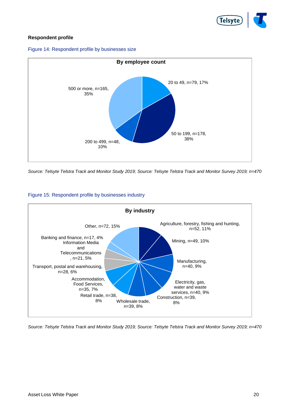

### **Respondent profile**





*Source: Telsyte Telstra Track and Monitor Study 2019; Source: Telsyte Telstra Track and Monitor Survey 2019; n=470*



### Figure 15: Respondent profile by businesses industry

*Source: Telsyte Telstra Track and Monitor Study 2019; Source: Telsyte Telstra Track and Monitor Survey 2019; n=470*